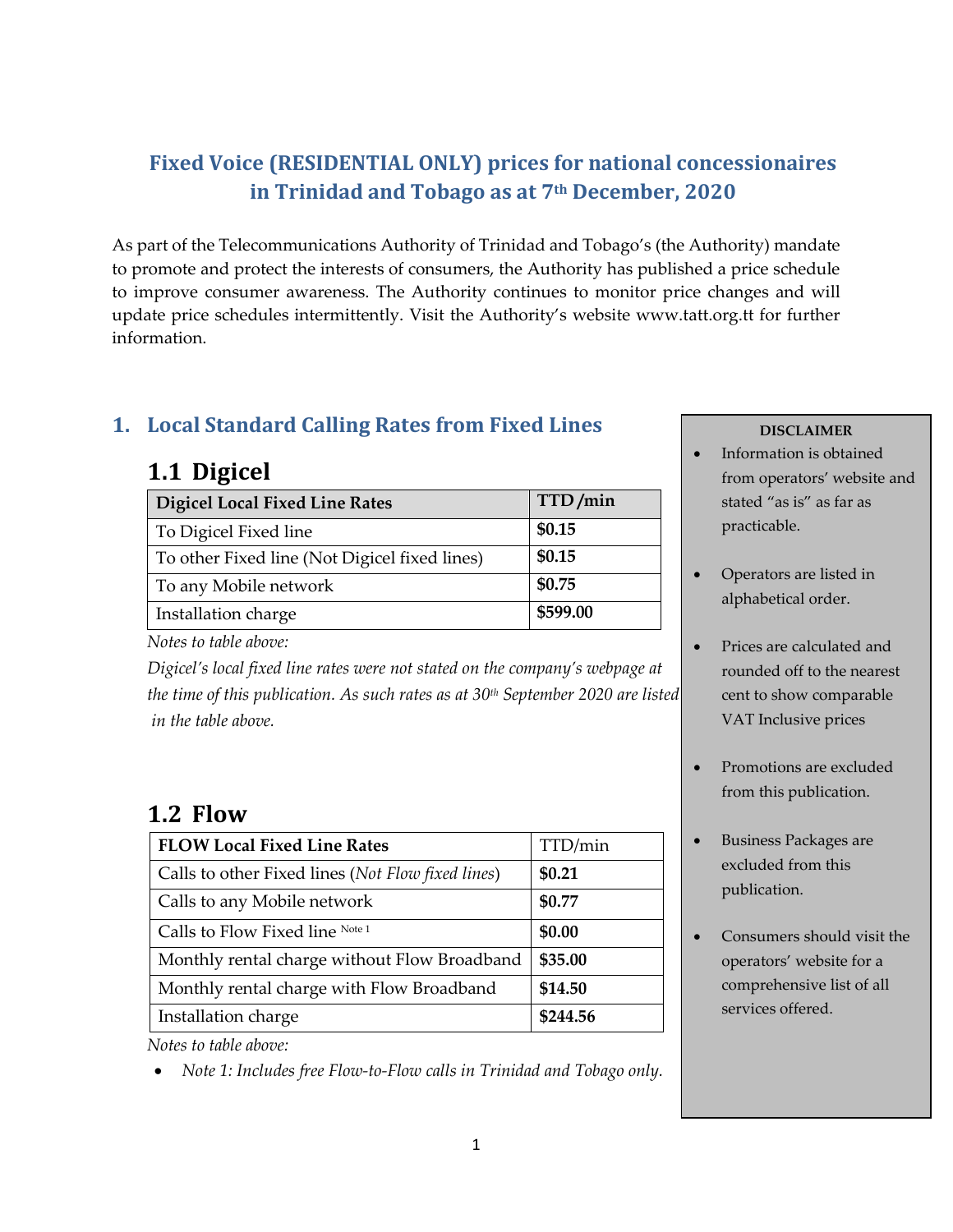## **Fixed Voice (RESIDENTIAL ONLY) prices for national concessionaires in Trinidad and Tobago as at 7th December, 2020**

As part of the Telecommunications Authority of Trinidad and Tobago's (the Authority) mandate to promote and protect the interests of consumers, the Authority has published a price schedule to improve consumer awareness. The Authority continues to monitor price changes and will update price schedules intermittently. Visit the Authority's website www.tatt.org.tt for further information.

#### **1. Local Standard Calling Rates from Fixed Lines**

## **1.1 Digicel**

| <b>Digicel Local Fixed Line Rates</b>         | TTD/min  |
|-----------------------------------------------|----------|
| To Digicel Fixed line                         | \$0.15   |
| To other Fixed line (Not Digicel fixed lines) | \$0.15   |
| To any Mobile network                         | \$0.75   |
| Installation charge                           | \$599.00 |

*Notes to table above:* 

*Digicel's local fixed line rates were not stated on the company's webpage at the time of this publication. As such rates as at 30th September 2020 are listed in the table above.*

# **1.2 Flow**

| <b>FLOW Local Fixed Line Rates</b>                | TTD/min  |
|---------------------------------------------------|----------|
| Calls to other Fixed lines (Not Flow fixed lines) | \$0.21   |
| Calls to any Mobile network                       | \$0.77   |
| Calls to Flow Fixed line Note 1                   | \$0.00   |
| Monthly rental charge without Flow Broadband      | \$35.00  |
| Monthly rental charge with Flow Broadband         | \$14.50  |
| Installation charge                               | \$244.56 |

*Notes to table above:* 

• *Note 1: Includes free Flow-to-Flow calls in Trinidad and Tobago only.*

#### **DISCLAIMER**

- Information is obtained from operators' website and stated "as is" as far as practicable.
- Operators are listed in alphabetical order.
- Prices are calculated and rounded off to the nearest cent to show comparable VAT Inclusive prices
- Promotions are excluded from this publication.
- Business Packages are excluded from this publication.
- Consumers should visit the operators' website for a comprehensive list of all services offered.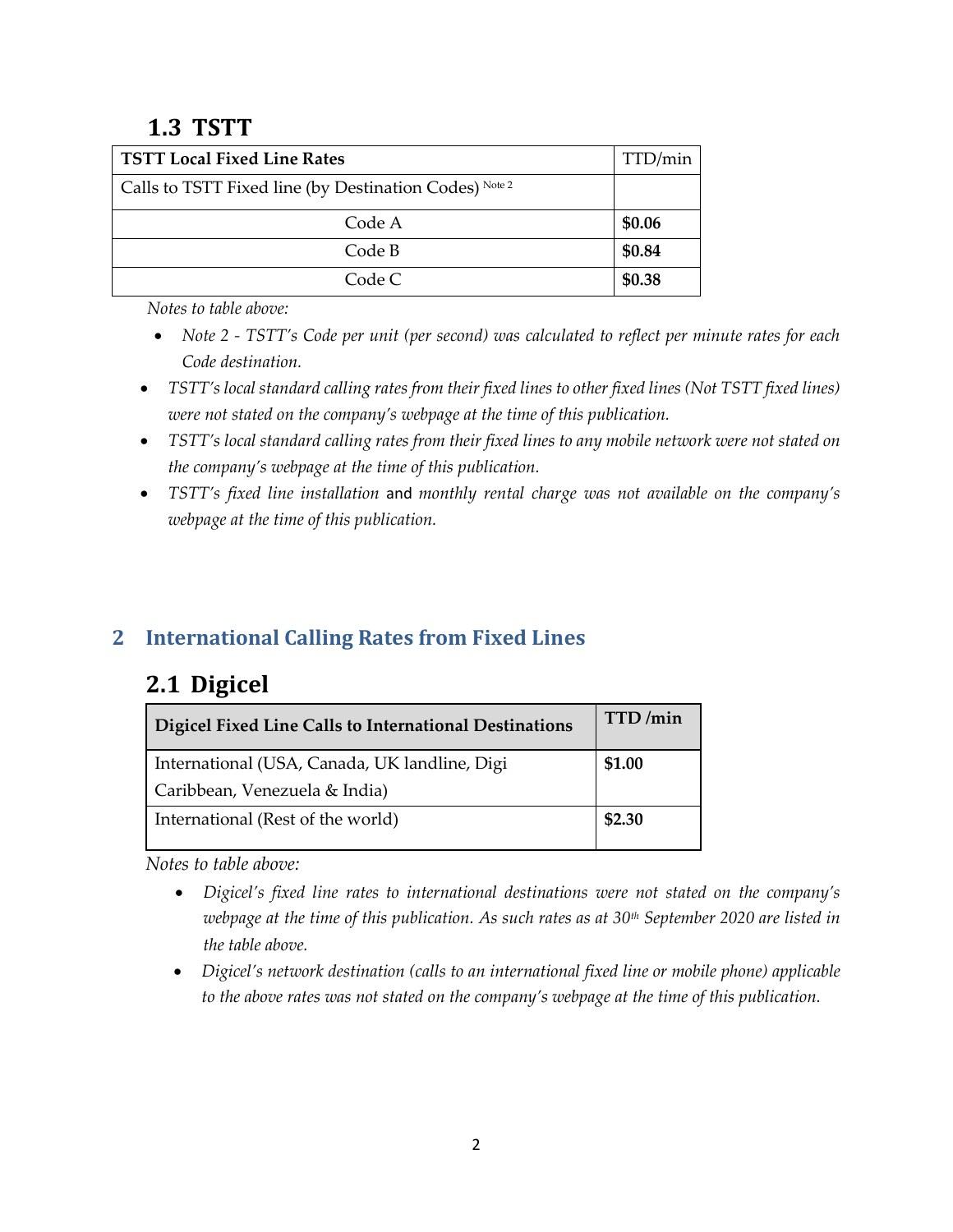## **1.3 TSTT**

| <b>TSTT Local Fixed Line Rates</b>                     |        |
|--------------------------------------------------------|--------|
| Calls to TSTT Fixed line (by Destination Codes) Note 2 |        |
| Code A                                                 | \$0.06 |
| Code B                                                 | \$0.84 |
| Code C                                                 | \$0.38 |

*Notes to table above:* 

- *Note 2 - TSTT's Code per unit (per second) was calculated to reflect per minute rates for each Code destination.*
- *TSTT's local standard calling rates from their fixed lines to other fixed lines (Not TSTT fixed lines) were not stated on the company's webpage at the time of this publication.*
- *TSTT's local standard calling rates from their fixed lines to any mobile network were not stated on the company's webpage at the time of this publication.*
- *TSTT's fixed line installation* and *monthly rental charge was not available on the company's webpage at the time of this publication.*

## **2 International Calling Rates from Fixed Lines**

# **2.1 Digicel**

| Digicel Fixed Line Calls to International Destinations | TTD/min |
|--------------------------------------------------------|---------|
| International (USA, Canada, UK landline, Digi          | \$1.00  |
| Caribbean, Venezuela & India)                          |         |
| International (Rest of the world)                      | \$2.30  |

*Notes to table above:* 

- *Digicel's fixed line rates to international destinations were not stated on the company's webpage at the time of this publication. As such rates as at 30th September 2020 are listed in the table above.*
- *Digicel's network destination (calls to an international fixed line or mobile phone) applicable to the above rates was not stated on the company's webpage at the time of this publication.*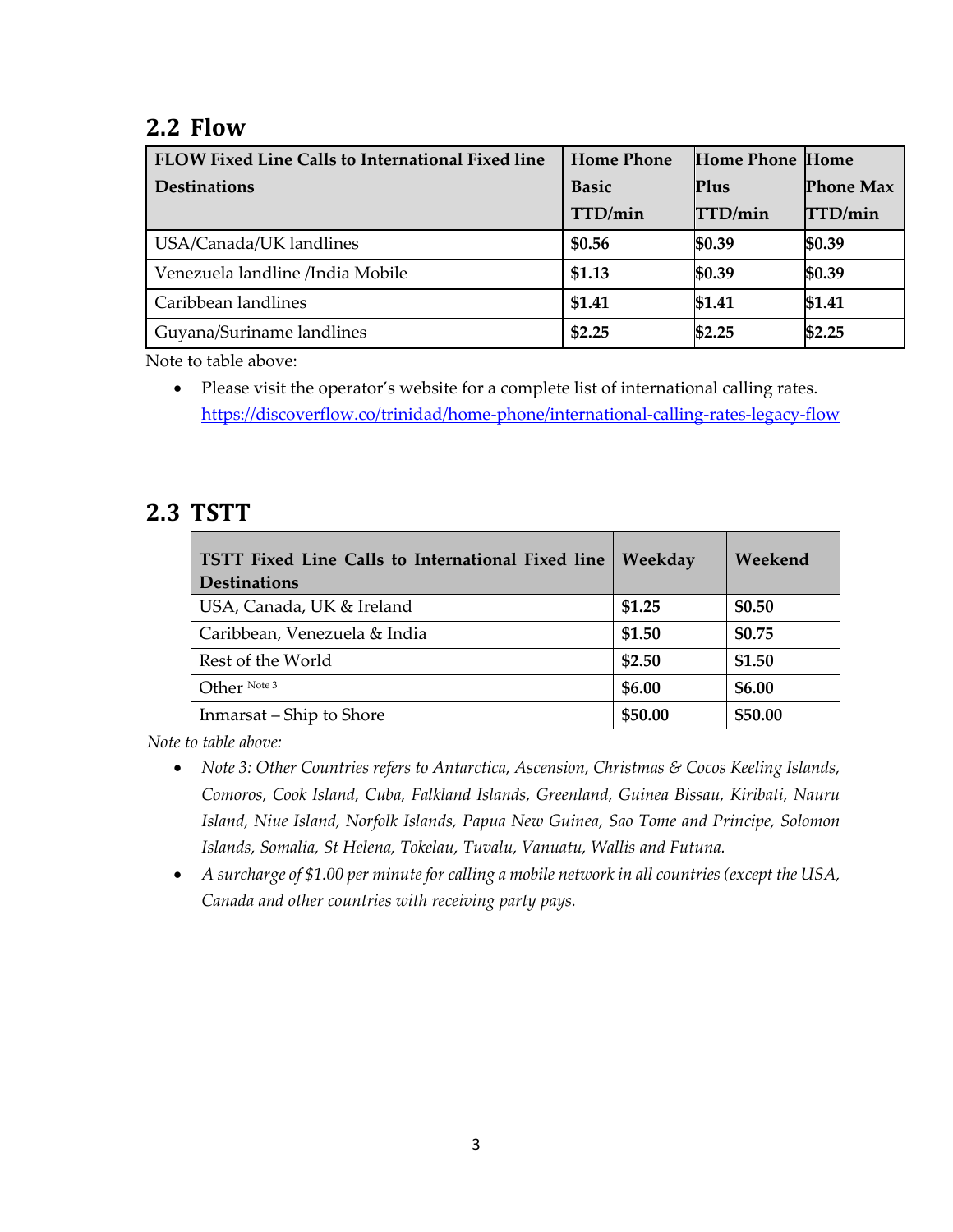## **2.2 Flow**

| FLOW Fixed Line Calls to International Fixed line | <b>Home Phone</b> | <b>Home Phone Home</b> |                  |
|---------------------------------------------------|-------------------|------------------------|------------------|
| <b>Destinations</b>                               | <b>Basic</b>      | <b>Plus</b>            | <b>Phone Max</b> |
|                                                   | TTD/min           | TTD/min                | TTD/min          |
| USA/Canada/UK landlines                           | \$0.56            | \$0.39                 | \$0.39           |
| Venezuela landline /India Mobile                  | \$1.13            | \$0.39                 | \$0.39           |
| Caribbean landlines                               | \$1.41            | \$1.41                 | \$1.41           |
| Guyana/Suriname landlines                         | \$2.25            | \$2.25                 | \$2.25           |

Note to table above:

• Please visit the operator's website for a complete list of international calling rates. <https://discoverflow.co/trinidad/home-phone/international-calling-rates-legacy-flow>

## **2.3 TSTT**

| TSTT Fixed Line Calls to International Fixed line<br><b>Destinations</b> | Weekday | Weekend |
|--------------------------------------------------------------------------|---------|---------|
| USA, Canada, UK & Ireland                                                | \$1.25  | \$0.50  |
| Caribbean, Venezuela & India                                             | \$1.50  | \$0.75  |
| Rest of the World                                                        | \$2.50  | \$1.50  |
| Other Note 3                                                             | \$6.00  | \$6.00  |
| Inmarsat – Ship to Shore                                                 | \$50.00 | \$50.00 |

*Note to table above:*

- *Note 3: Other Countries refers to Antarctica, Ascension, Christmas & Cocos Keeling Islands, Comoros, Cook Island, Cuba, Falkland Islands, Greenland, Guinea Bissau, Kiribati, Nauru Island, Niue Island, Norfolk Islands, Papua New Guinea, Sao Tome and Principe, Solomon Islands, Somalia, St Helena, Tokelau, Tuvalu, Vanuatu, Wallis and Futuna.*
- *A surcharge of \$1.00 per minute for calling a mobile network in all countries (except the USA, Canada and other countries with receiving party pays.*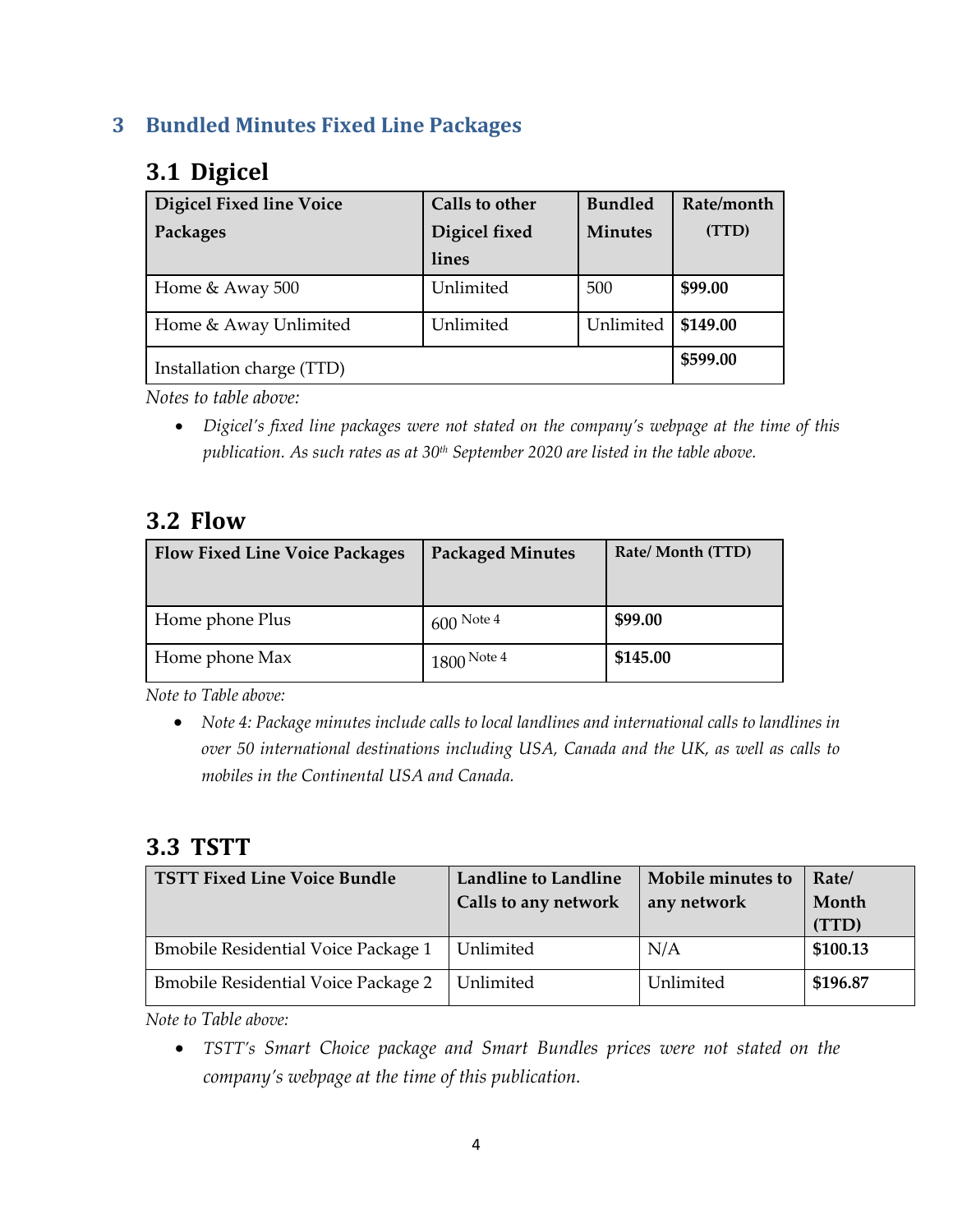#### **3 Bundled Minutes Fixed Line Packages**

# **3.1 Digicel**

| <b>Digicel Fixed line Voice</b> | Calls to other | <b>Bundled</b> | Rate/month |
|---------------------------------|----------------|----------------|------------|
| Packages                        | Digicel fixed  | <b>Minutes</b> | (TTD)      |
|                                 | lines          |                |            |
| Home & Away 500                 | Unlimited      | 500            | \$99.00    |
| Home & Away Unlimited           | Unlimited      | Unlimited      | \$149.00   |
| Installation charge (TTD)       |                |                | \$599.00   |

*Notes to table above:* 

• *Digicel's fixed line packages were not stated on the company's webpage at the time of this publication. As such rates as at 30th September 2020 are listed in the table above.*

#### **3.2 Flow**

| <b>Flow Fixed Line Voice Packages</b> | <b>Packaged Minutes</b> | Rate/Month (TTD) |
|---------------------------------------|-------------------------|------------------|
| Home phone Plus                       | $1600$ Note 4           | \$99.00          |
| Home phone Max                        | $1800$ Note 4           | \$145.00         |

*Note to Table above:*

• *Note 4: Package minutes include calls to local landlines and international calls to landlines in over 50 international destinations including USA, Canada and the UK, as well as calls to mobiles in the Continental USA and Canada.*

#### **3.3 TSTT**

| <b>TSTT Fixed Line Voice Bundle</b>        | <b>Landline to Landline</b><br>Calls to any network | Mobile minutes to<br>any network | Rate/<br>Month<br>(TTD) |
|--------------------------------------------|-----------------------------------------------------|----------------------------------|-------------------------|
| <b>Bmobile Residential Voice Package 1</b> | Unlimited                                           | N/A                              | \$100.13                |
| <b>Bmobile Residential Voice Package 2</b> | Unlimited                                           | Unlimited                        | \$196.87                |

*Note to Table above:*

• *TSTT's Smart Choice package and Smart Bundles prices were not stated on the company's webpage at the time of this publication.*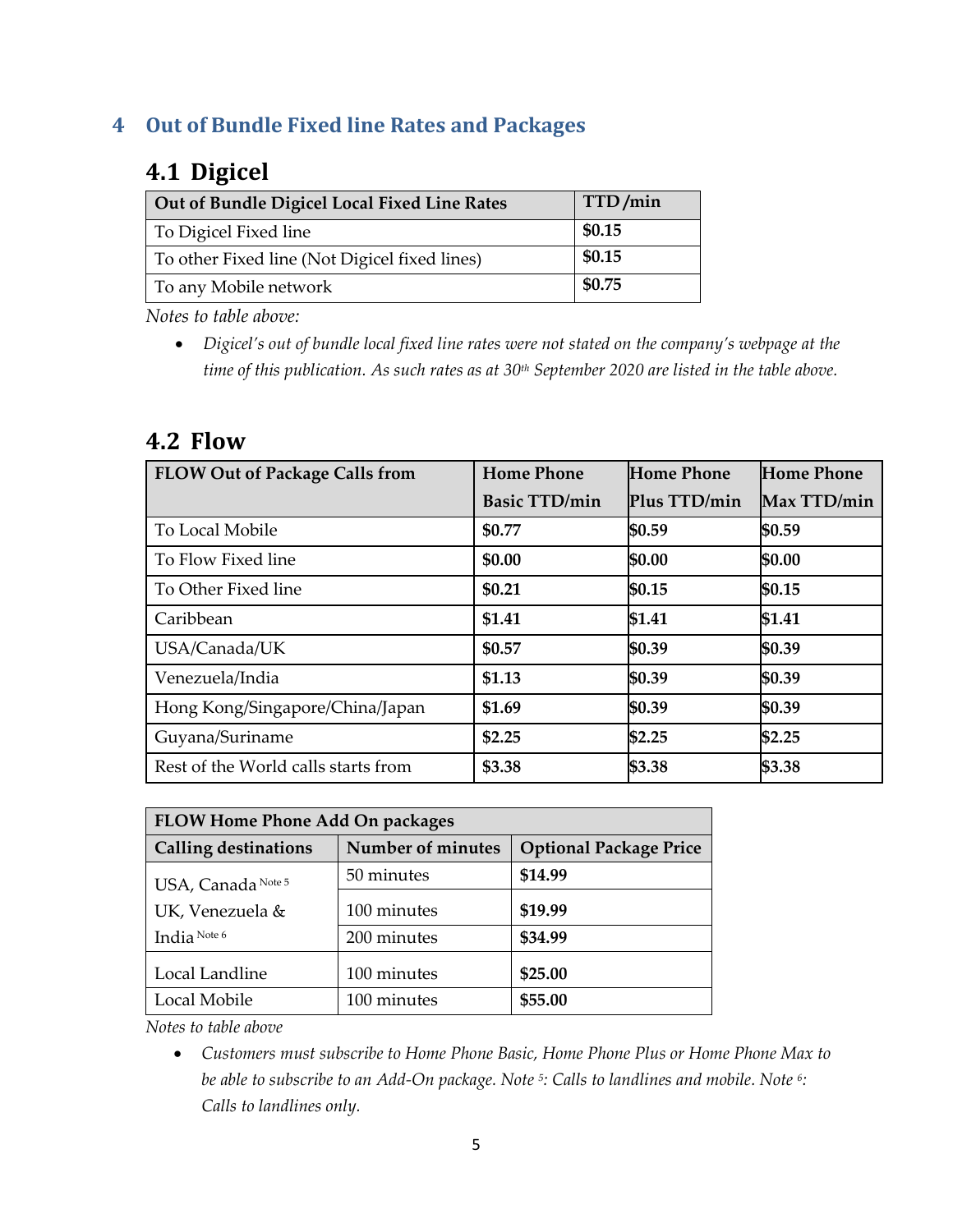#### **4 Out of Bundle Fixed line Rates and Packages**

## **4.1 Digicel**

| Out of Bundle Digicel Local Fixed Line Rates  | TTD/min |
|-----------------------------------------------|---------|
| To Digicel Fixed line                         | \$0.15  |
| To other Fixed line (Not Digicel fixed lines) | \$0.15  |
| To any Mobile network                         | \$0.75  |

*Notes to table above:* 

• *Digicel's out of bundle local fixed line rates were not stated on the company's webpage at the time of this publication. As such rates as at 30th September 2020 are listed in the table above.*

#### **4.2 Flow**

| <b>FLOW Out of Package Calls from</b> | <b>Home Phone</b>    | <b>Home Phone</b> | <b>Home Phone</b> |
|---------------------------------------|----------------------|-------------------|-------------------|
|                                       | <b>Basic TTD/min</b> | Plus TTD/min      | Max TTD/min       |
| To Local Mobile                       | \$0.77               | \$0.59            | \$0.59            |
| To Flow Fixed line                    | \$0.00               | \$0.00            | \$0.00            |
| To Other Fixed line                   | \$0.21               | \$0.15            | \$0.15            |
| Caribbean                             | \$1.41               | \$1.41            | \$1.41            |
| USA/Canada/UK                         | \$0.57               | \$0.39            | \$0.39            |
| Venezuela/India                       | \$1.13               | \$0.39            | \$0.39            |
| Hong Kong/Singapore/China/Japan       | \$1.69               | \$0.39            | \$0.39            |
| Guyana/Suriname                       | \$2.25               | \$2.25            | \$2.25            |
| Rest of the World calls starts from   | \$3.38               | \$3.38            | \$3.38            |

| <b>FLOW Home Phone Add On packages</b> |                   |                               |  |
|----------------------------------------|-------------------|-------------------------------|--|
| <b>Calling destinations</b>            | Number of minutes | <b>Optional Package Price</b> |  |
| USA, Canada Note 5                     | 50 minutes        | \$14.99                       |  |
| UK, Venezuela &                        | 100 minutes       | \$19.99                       |  |
| India Note 6                           | 200 minutes       | \$34.99                       |  |
| Local Landline                         | 100 minutes       | \$25.00                       |  |
| Local Mobile                           | 100 minutes       | \$55.00                       |  |

*Notes to table above*

• *Customers must subscribe to Home Phone Basic, Home Phone Plus or Home Phone Max to be able to subscribe to an Add-On package. Note <sup>5</sup> : Calls to landlines and mobile. Note <sup>6</sup> : Calls to landlines only.*